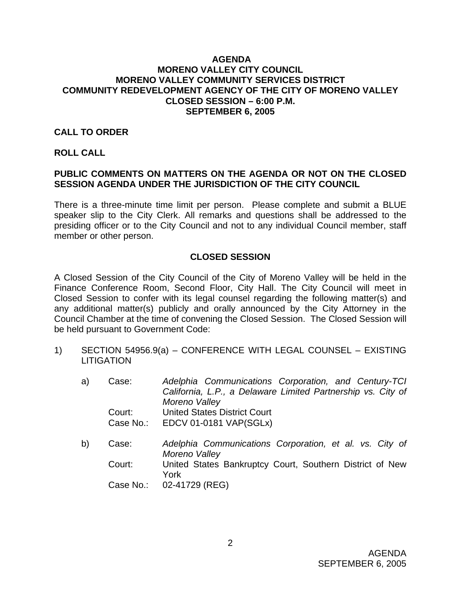### **AGENDA MORENO VALLEY CITY COUNCIL MORENO VALLEY COMMUNITY SERVICES DISTRICT COMMUNITY REDEVELOPMENT AGENCY OF THE CITY OF MORENO VALLEY CLOSED SESSION – 6:00 P.M. SEPTEMBER 6, 2005**

### **CALL TO ORDER**

#### **ROLL CALL**

## **PUBLIC COMMENTS ON MATTERS ON THE AGENDA OR NOT ON THE CLOSED SESSION AGENDA UNDER THE JURISDICTION OF THE CITY COUNCIL**

There is a three-minute time limit per person. Please complete and submit a BLUE speaker slip to the City Clerk. All remarks and questions shall be addressed to the presiding officer or to the City Council and not to any individual Council member, staff member or other person.

## **CLOSED SESSION**

A Closed Session of the City Council of the City of Moreno Valley will be held in the Finance Conference Room, Second Floor, City Hall. The City Council will meet in Closed Session to confer with its legal counsel regarding the following matter(s) and any additional matter(s) publicly and orally announced by the City Attorney in the Council Chamber at the time of convening the Closed Session. The Closed Session will be held pursuant to Government Code:

- 1) SECTION 54956.9(a) CONFERENCE WITH LEGAL COUNSEL EXISTING **LITIGATION** 
	- a) Case: *Adelphia Communications Corporation, and Century-TCI California, L.P., a Delaware Limited Partnership vs. City of Moreno Valley* Court: United States District Court Case No.: EDCV 01-0181 VAP(SGLx)
	- b) Case: *Adelphia Communications Corporation, et al. vs. City of Moreno Valley* Court: United States Bankruptcy Court, Southern District of New York Case No.: 02-41729 (REG)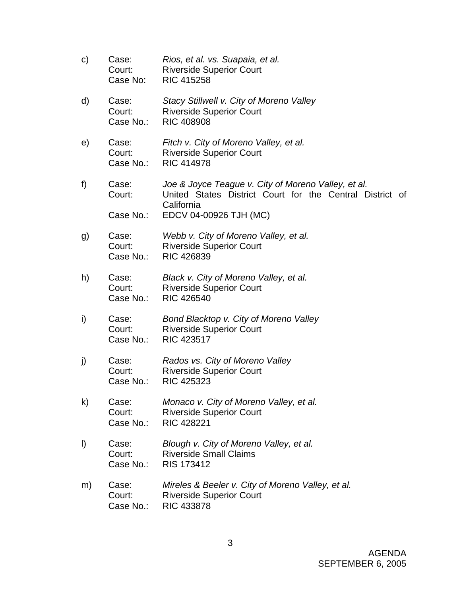c) Case: *Rios, et al. vs. Suapaia, et al.* Court: Riverside Superior Court Case No: RIC 415258 d) Case: *Stacy Stillwell v. City of Moreno Valley*  Court: Riverside Superior Court Case No.: RIC 408908 e) Case: *Fitch v. City of Moreno Valley, et al.*  Court: Riverside Superior Court Case No.: RIC 414978 f) Case: *Joe & Joyce Teague v. City of Moreno Valley, et al.*  Court: United States District Court for the Central District of California Case No.: EDCV 04-00926 TJH (MC) g) Case: *Webb v. City of Moreno Valley, et al.*  Court: Riverside Superior Court Case No.: RIC 426839 h) Case: *Black v. City of Moreno Valley, et al.*  Court: Riverside Superior Court Case No.: RIC 426540 i) Case: *Bond Blacktop v. City of Moreno Valley* **Court:** Riverside Superior Court Case No.: RIC 423517 j) Case: *Rados vs. City of Moreno Valley*  Court: Riverside Superior Court Case No.: RIC 425323 k) Case: *Monaco v. City of Moreno Valley, et al.* Court: Riverside Superior Court Case No.: RIC 428221 l) Case: *Blough v. City of Moreno Valley, et al.* Court: Riverside Small Claims Case No.: RIS 173412 m) Case: *Mireles & Beeler v. City of Moreno Valley, et al.* **Court:** Riverside Superior Court Case No.: RIC 433878